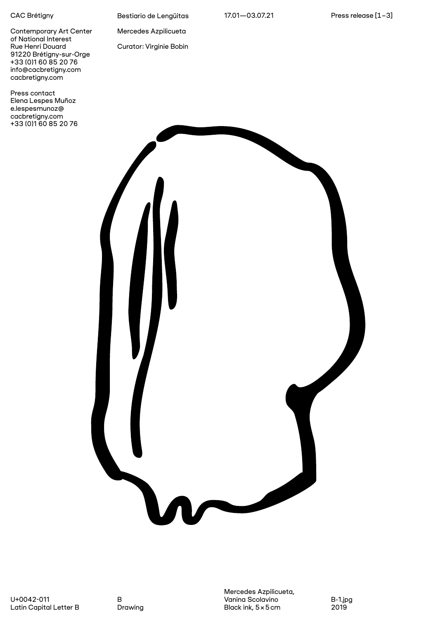## CAC Brétigny

Contemporary Art Center of National Interest Rue Henri Douard 91220 Brétigny-sur-Orge +33 (0)1 60 85 20 76 info@cacbretigny.com [cacbretigny.com](https://www.cacbretigny.com/fr/)

Press contact Elena Lespes Muñoz e.lespesmunoz@ cacbretigny.com +33 (0)1 60 85 20 76 Bestiario de Lengüitas

Mercedes Azpilicueta

Curator: Virginie Bobin



Mercedes Azpilicueta, Vanina Scolavino Black ink, 5×5cm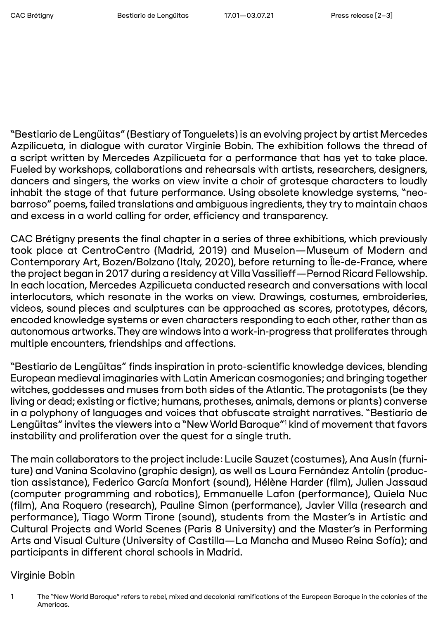"Bestiario de Lengüitas" (Bestiary of Tonguelets) is an evolving project by artist Mercedes Azpilicueta, in dialogue with curator Virginie Bobin. The exhibition follows the thread of a script written by Mercedes Azpilicueta for a performance that has yet to take place. Fueled by workshops, collaborations and rehearsals with artists, researchers, designers, dancers and singers, the works on view invite a choir of grotesque characters to loudly inhabit the stage of that future performance. Using obsolete knowledge systems, "neobarroso" poems, failed translations and ambiguous ingredients, they try to maintain chaos and excess in a world calling for order, efficiency and transparency.

CAC Brétigny presents the final chapter in a series of three exhibitions, which previously took place at CentroCentro (Madrid, 2019) and Museion—Museum of Modern and Contemporary Art, Bozen/Bolzano (Italy, 2020), before returning to Île-de-France, where the project began in 2017 during a residency at Villa Vassilieff—Pernod Ricard Fellowship. In each location, Mercedes Azpilicueta conducted research and conversations with local interlocutors, which resonate in the works on view. Drawings, costumes, embroideries, videos, sound pieces and sculptures can be approached as scores, prototypes, décors, encoded knowledge systems or even characters responding to each other, rather than as autonomous artworks. They are windows into a work-in-progress that proliferates through multiple encounters, friendships and affections.

"Bestiario de Lengüitas" finds inspiration in proto-scientific knowledge devices, blending European medieval imaginaries with Latin American cosmogonies; and bringing together witches, goddesses and muses from both sides of the Atlantic. The protagonists (be they living or dead; existing or fictive; humans, protheses, animals, demons or plants) converse in a polyphony of languages and voices that obfuscate straight narratives. "Bestiario de Lengüitas" invites the viewers into a "New World Baroque"1 kind of movement that favors instability and proliferation over the quest for a single truth.

The main collaborators to the project include: Lucile Sauzet (costumes), Ana Ausín (furniture) and Vanina Scolavino (graphic design), as well as Laura Fernández Antolín (production assistance), Federico García Monfort (sound), Hélène Harder (film), Julien Jassaud (computer programming and robotics), Emmanuelle Lafon (performance), Quiela Nuc (film), Ana Roquero (research), Pauline Simon (performance), Javier Villa (research and performance), Tiago Worm Tirone (sound), students from the Master's in Artistic and Cultural Projects and World Scenes (Paris 8 University) and the Master's in Performing Arts and Visual Culture (University of Castilla—La Mancha and Museo Reina Sofía); and participants in different choral schools in Madrid.

## Virginie Bobin

<sup>1</sup> The "New World Baroque" refers to rebel, mixed and decolonial ramifications of the European Baroque in the colonies of the Americas.